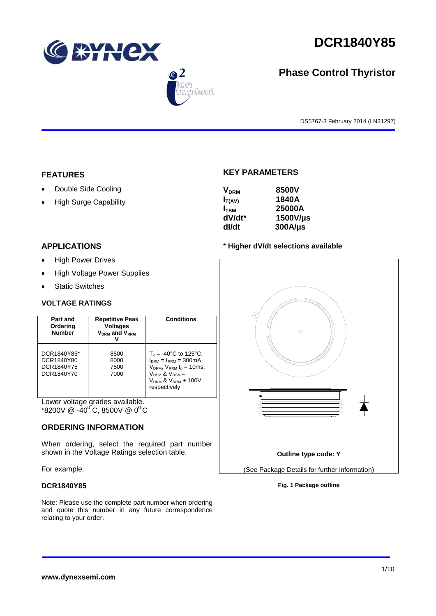

 $\bigcirc$  2

.<br>Dlamt



# **Phase Control Thyristor**

DS5767-3 February 2014 (LN31297)

## **FEATURES**

- Double Side Cooling
- High Surge Capability

## **APPLICATIONS**

- High Power Drives
- High Voltage Power Supplies
- Static Switches

## **VOLTAGE RATINGS**

| Part and<br>Ordering<br><b>Number</b>                 | <b>Repetitive Peak</b><br><b>Voltages</b><br>$V_{DRM}$ and $V_{RRM}$ | <b>Conditions</b>                                                                                                                                                                           |
|-------------------------------------------------------|----------------------------------------------------------------------|---------------------------------------------------------------------------------------------------------------------------------------------------------------------------------------------|
| DCR1840Y85*<br>DCR1840Y80<br>DCR1840Y75<br>DCR1840Y70 | 8500<br>8000<br>7500<br>7000                                         | $T_{\rm vi}$ = -40°C to 125°C,<br>$I_{DRM} = I_{RRM} = 300 \text{mA}$ ,<br>$V_{DRM}$ , $V_{RRM}$ $t_{p}$ = 10ms,<br>$V_{DSM}$ & $V_{RSM}$ =<br>$V_{DRM}$ & $V_{RRM}$ + 100V<br>respectively |

Lower voltage grades available.  $*8200V \ @ \ -40^{\circ}C, 8500V \ @ \ 0^{\circ}C$ 

## **ORDERING INFORMATION**

When ordering, select the required part number shown in the Voltage Ratings selection table.

For example:

### **DCR1840Y85**

Note: Please use the complete part number when ordering and quote this number in any future correspondence relating to your order.

# **KEY PARAMETERS**

| <b>V<sub>DRM</sub></b> | 8500V        |
|------------------------|--------------|
| $I_{T(AV)}$            | 1840A        |
| $I_{TSM}$              | 25000A       |
| dV/dt*                 | 1500V/µs     |
| dl/dt                  | $300A/\mu s$ |

## \* **Higher dV/dt selections available**



## **Fig. 1 Package outline**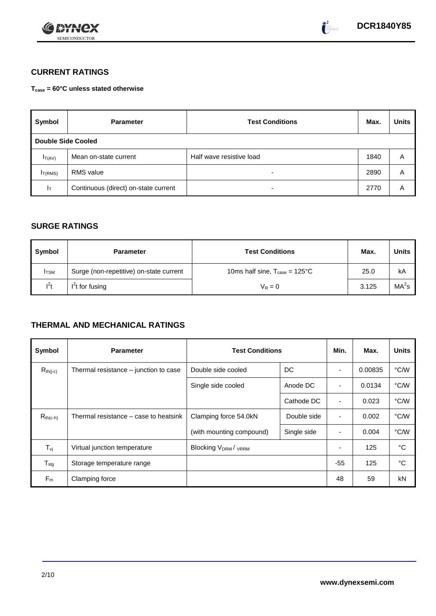



# **CURRENT RATINGS**

**Tcase = 60°C unless stated otherwise**

| Symbol                    | <b>Parameter</b>                     | <b>Test Conditions</b>   | Max. | <b>Units</b> |  |
|---------------------------|--------------------------------------|--------------------------|------|--------------|--|
| <b>Double Side Cooled</b> |                                      |                          |      |              |  |
| $I_{T(AV)}$               | Mean on-state current                | Half wave resistive load | 1840 | A            |  |
| IT(RMS)                   | <b>RMS</b> value                     | -                        | 2890 | Α            |  |
| Iτ                        | Continuous (direct) on-state current | -                        | 2770 | Α            |  |

# **SURGE RATINGS**

| Symbol       | <b>Parameter</b>                        | <b>Test Conditions</b>                           | Max.  | Units             |
|--------------|-----------------------------------------|--------------------------------------------------|-------|-------------------|
| <b>I</b> TSM | Surge (non-repetitive) on-state current | 10ms half sine, $T_{\text{case}} = 125^{\circ}C$ | 25.0  | kA                |
| $l^2t$       | $I2t$ for fusing                        | $V_R = 0$                                        | 3.125 | MA <sup>2</sup> s |

# **THERMAL AND MECHANICAL RATINGS**

| Symbol                         | <b>Parameter</b>                      | <b>Test Conditions</b>                      |             |                | Max.    | <b>Units</b> |
|--------------------------------|---------------------------------------|---------------------------------------------|-------------|----------------|---------|--------------|
| $R_{th(j-c)}$                  | Thermal resistance – junction to case | DC<br>Double side cooled                    |             |                | 0.00835 | °C/W         |
|                                |                                       | Single side cooled                          | Anode DC    | ٠              | 0.0134  | °C/W         |
|                                |                                       |                                             | Cathode DC  | $\blacksquare$ | 0.023   | °C/W         |
| $R_{th(c-h)}$                  | Thermal resistance – case to heatsink | Clamping force 54.0kN<br>Double side        |             | ٠              | 0.002   | °C/W         |
|                                |                                       | (with mounting compound)                    | Single side |                | 0.004   | °C/W         |
| $T_{\rm\scriptscriptstyle VI}$ | Virtual junction temperature          | Blocking V <sub>DRM</sub> / <sub>VRRM</sub> |             |                | 125     | °C           |
| $T_{\text{stg}}$               | Storage temperature range             |                                             |             | $-55$          | 125     | °C           |
| $F_m$                          | Clamping force                        |                                             |             | 48             | 59      | kN           |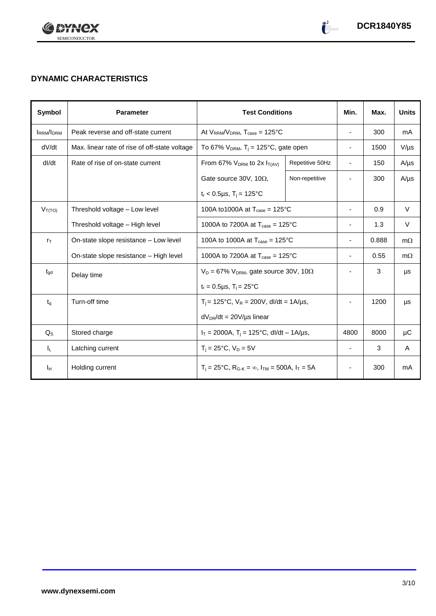

# **DYNAMIC CHARACTERISTICS**

| <b>Symbol</b>    | <b>Parameter</b>                              | <b>Test Conditions</b>                                                                          |                          | Min.                     | Max.      | <b>Units</b> |
|------------------|-----------------------------------------------|-------------------------------------------------------------------------------------------------|--------------------------|--------------------------|-----------|--------------|
| <b>IRRM/IDRM</b> | Peak reverse and off-state current            | At $V_{RRM}/V_{DRM}$ , $T_{case} = 125^{\circ}C$                                                |                          | $\overline{\phantom{a}}$ | 300       | mA           |
| dV/dt            | Max. linear rate of rise of off-state voltage | To 67% $V_{DRM}$ , T <sub>i</sub> = 125°C, gate open                                            |                          | $\overline{\phantom{a}}$ | 1500      | $V/\mu s$    |
| dl/dt            | Rate of rise of on-state current              | From 67% $V_{DRM}$ to 2x $I_{T(AV)}$                                                            | Repetitive 50Hz          | $\overline{\phantom{a}}$ | 150       | $A/\mu s$    |
|                  |                                               | Gate source 30V, 10 $\Omega$ ,                                                                  | Non-repetitive           |                          | 300       | $A/\mu s$    |
|                  |                                               | $t_r < 0.5 \mu s$ , T <sub>i</sub> = 125°C                                                      |                          |                          |           |              |
| $V_{T(TO)}$      | Threshold voltage - Low level                 | 100A to 1000A at $T_{\text{case}} = 125^{\circ}$ C                                              |                          | $\overline{\phantom{a}}$ | 0.9       | $\vee$       |
|                  | Threshold voltage - High level                | 1000A to 7200A at $T_{\text{case}} = 125^{\circ}C$                                              |                          | $\overline{\phantom{a}}$ | 1.3       | V            |
| $r_{\text{T}}$   | On-state slope resistance - Low level         | 100A to 1000A at $T_{\text{case}} = 125^{\circ}$ C                                              |                          | 0.888                    | $m\Omega$ |              |
|                  | On-state slope resistance – High level        | 1000A to 7200A at $T_{\text{case}} = 125^{\circ}C$                                              | $\overline{\phantom{a}}$ | 0.55                     | $m\Omega$ |              |
| $t_{\rm gd}$     | Delay time                                    | $V_D = 67\% V_{DRM}$ , gate source 30V, 10 $\Omega$                                             |                          |                          | 3         | μs           |
|                  |                                               | $t_r = 0.5 \mu s$ , $T_i = 25^{\circ}C$                                                         |                          |                          |           |              |
| $t_q$            | Turn-off time                                 | $T_i$ = 125°C, $V_R$ = 200V, dl/dt = 1A/µs,                                                     |                          |                          | 1200      | μs           |
|                  |                                               | $dV_{DR}/dt = 20V/\mu s$ linear                                                                 |                          |                          |           |              |
| $Q_{S}$          | Stored charge                                 | $I_T = 2000A$ , $T_i = 125^{\circ}C$ , dl/dt - 1A/µs,                                           |                          | 4800                     | 8000      | μC           |
| IL.              | Latching current                              | $T_i = 25^{\circ}C$ , $V_D = 5V$                                                                |                          | $\blacksquare$           | 3         | A            |
| Iн               | Holding current                               | $T_i = 25^{\circ}C$ , R <sub>G-K</sub> = $\infty$ , I <sub>TM</sub> = 500A, I <sub>T</sub> = 5A |                          | $\overline{\phantom{a}}$ | 300       | mA           |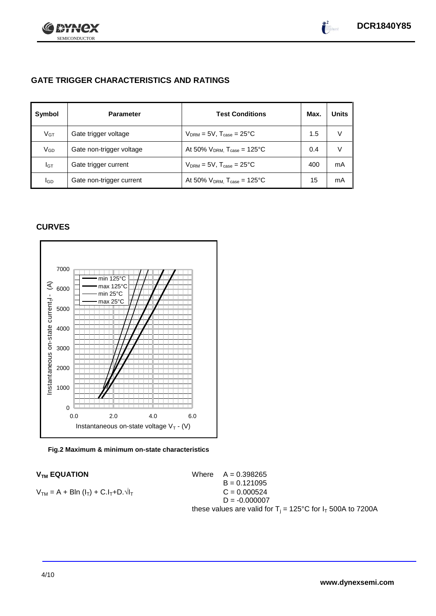

# **GATE TRIGGER CHARACTERISTICS AND RATINGS**

| Symbol          | <b>Parameter</b>         | <b>Test Conditions</b>                       | Max. | <b>Units</b> |
|-----------------|--------------------------|----------------------------------------------|------|--------------|
| V <sub>GT</sub> | Gate trigger voltage     | $V_{DRM} = 5V$ , $T_{case} = 25^{\circ}C$    | 1.5  | V            |
| VGD             | Gate non-trigger voltage | At 50% $V_{DRM}$ , $T_{case} = 125^{\circ}C$ | 0.4  | V            |
| IGТ             | Gate trigger current     | $V_{DRM}$ = 5V, $T_{case}$ = 25°C            | 400  | mA           |
| lgd             | Gate non-trigger current | At 50% $V_{DRM}$ , $T_{case} = 125^{\circ}C$ | 15   | mA           |

# **CURVES**



### **Fig.2 Maximum & minimum on-state characteristics**

 $V_{TM}$  **EQUATION** Where  $A = 0.398265$  $B = 0.121095$  $V_{TM} = A + B\ln(I_T) + C.I_T + D.\sqrt{I_T}$  C = 0.000524  $D = -0.000007$ these values are valid for  $T_i = 125^{\circ}$ C for  $I_T$  500A to 7200A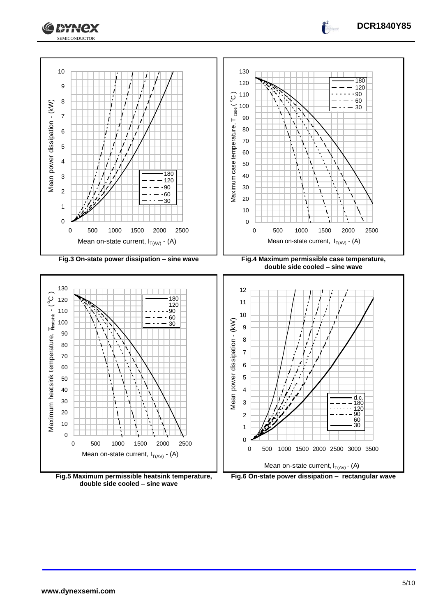



**Fig.5 Maximum permissible heatsink temperature, double side cooled – sine wave**

**Fig.6 On-state power dissipation – rectangular wave**

**DCR1840Y85**

 $\int_0^2$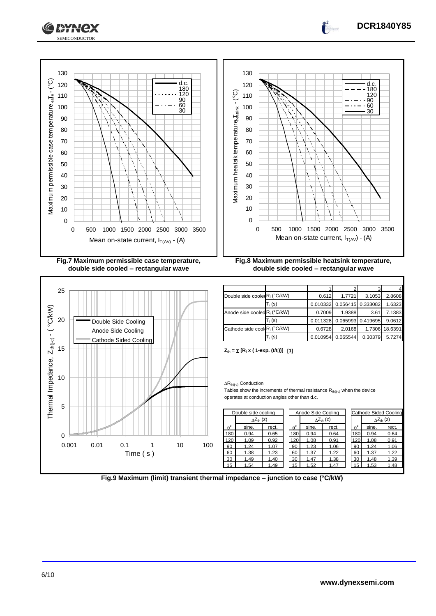

![](_page_5_Figure_1.jpeg)

![](_page_5_Figure_2.jpeg)

![](_page_5_Figure_3.jpeg)

**DCR1840Y85**

 $Z_{\text{th}} = \sum [R_i \times (1-\exp(.(t/t_i)))]$  [1]

 $\Delta R_{th(j\text{-}c)}$  Conduction

Tables show the increments of thermal resistance  $R_{th(i-c)}$  when the device operates at conduction angles other than d.c.

|                  | Double side cooling        |       | Anode Side Cooling |             |       | Cathode Sided Cooling      |             |       |                     |
|------------------|----------------------------|-------|--------------------|-------------|-------|----------------------------|-------------|-------|---------------------|
|                  | $\Delta Z_{\text{th}}$ (z) |       |                    |             |       | $\Delta Z_{\text{th}}$ (z) |             |       | $\Delta Z_{th}$ (z) |
| $\theta^{\circ}$ | sine.                      | rect. |                    | $A^{\circ}$ | sine. | rect.                      | $A^{\circ}$ | sine. | rect.               |
| 180              | 0.94                       | 0.65  |                    | 180         | 0.94  | 0.64                       | 180         | 0.94  | 0.64                |
| 120              | 1.09                       | 0.92  |                    | 120         | 1.08  | 0.91                       | 120         | 1.08  | 0.91                |
| 90               | 1.24                       | 1.07  |                    | 90          | 1.23  | 1.06                       | 90          | 1.24  | 1.06                |
| 60               | 1.38                       | 1.23  |                    | 60          | 1.37  | 1.22                       | 60          | 1.37  | 1.22                |
| 30               | 1.49                       | 1.40  |                    | 30          | 1.47  | 1.38                       | 30          | 1.48  | 1.39                |
| 15               | 1.54                       | 1.49  |                    | 15          | 1.52  | .47                        | 15          | 1.53  | 1.48                |

![](_page_5_Figure_8.jpeg)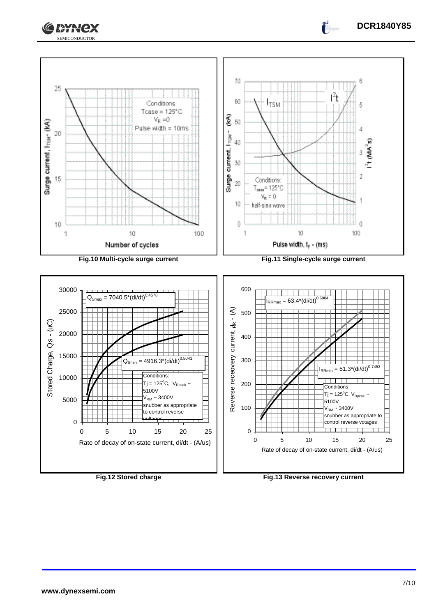![](_page_6_Picture_0.jpeg)

![](_page_6_Figure_1.jpeg)

**Fig.12 Stored charge Fig.13 Reverse recovery current**

**DCR1840Y85**

 $\int_0^2$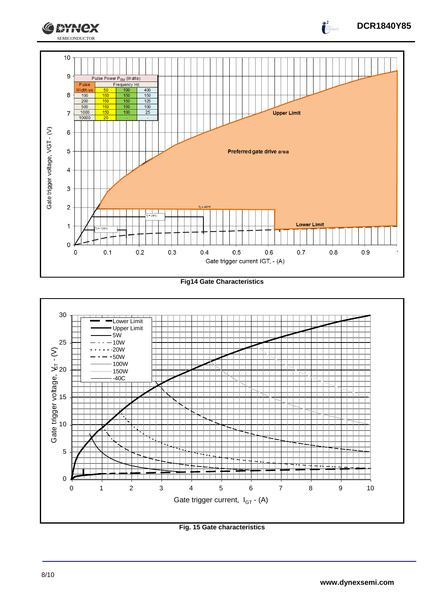![](_page_7_Figure_0.jpeg)

**Fig14 Gate Characteristics**

![](_page_7_Figure_2.jpeg)

**Fig. 15 Gate characteristics**

**DCR1840Y85**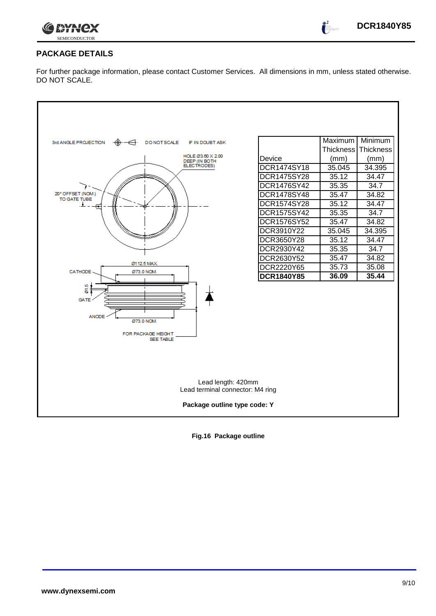![](_page_8_Picture_0.jpeg)

 $\int_0^2$ 

## **PACKAGE DETAILS**

For further package information, please contact Customer Services. All dimensions in mm, unless stated otherwise. DO NOT SCALE.

![](_page_8_Figure_4.jpeg)

**Fig.16 Package outline**